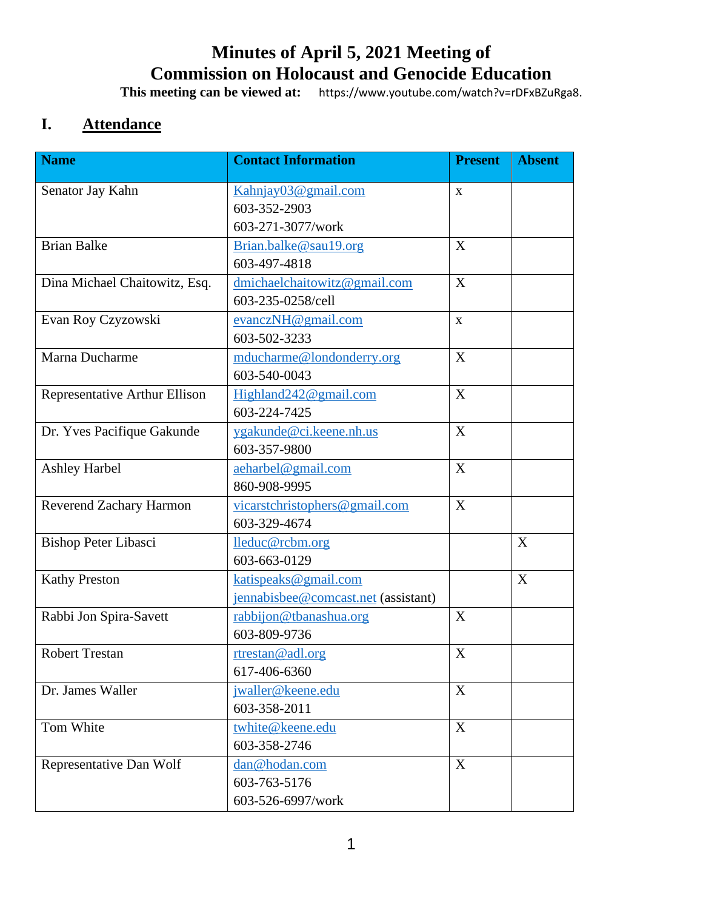# **Minutes of April 5, 2021 Meeting of Commission on Holocaust and Genocide Education**

**This meeting can be viewed at:** https://www.youtube.com/watch?v=rDFxBZuRga8.

# **I. Attendance**

| <b>Name</b>                   | <b>Contact Information</b>          | <b>Present</b> | <b>Absent</b> |
|-------------------------------|-------------------------------------|----------------|---------------|
| Senator Jay Kahn              | Kahnjay03@gmail.com                 | X              |               |
|                               | 603-352-2903                        |                |               |
|                               | 603-271-3077/work                   |                |               |
| <b>Brian Balke</b>            | Brian.balke@sau19.org               | X              |               |
|                               | 603-497-4818                        |                |               |
| Dina Michael Chaitowitz, Esq. | dmichaelchaitowitz@gmail.com        | X              |               |
|                               | 603-235-0258/cell                   |                |               |
| Evan Roy Czyzowski            | evanczNH@gmail.com                  | $\mathbf{X}$   |               |
|                               | 603-502-3233                        |                |               |
| Marna Ducharme                | mducharme@londonderry.org           | X              |               |
|                               | 603-540-0043                        |                |               |
| Representative Arthur Ellison | Highland242@gmail.com               | X              |               |
|                               | 603-224-7425                        |                |               |
| Dr. Yves Pacifique Gakunde    | ygakunde@ci.keene.nh.us             | X              |               |
|                               | 603-357-9800                        |                |               |
| <b>Ashley Harbel</b>          | aeharbel@gmail.com                  | X              |               |
|                               | 860-908-9995                        |                |               |
| Reverend Zachary Harmon       | vicarstchristophers@gmail.com       | X              |               |
|                               | 603-329-4674                        |                |               |
| <b>Bishop Peter Libasci</b>   | lleduc@rcbm.org                     |                | X             |
|                               | 603-663-0129                        |                |               |
| <b>Kathy Preston</b>          | katispeaks@gmail.com                |                | X             |
|                               | jennabisbee@comcast.net (assistant) |                |               |
| Rabbi Jon Spira-Savett        | rabbijon@tbanashua.org              | X              |               |
|                               | 603-809-9736                        |                |               |
| <b>Robert Trestan</b>         | rtrestan@adl.org                    | $\mathbf X$    |               |
|                               | 617-406-6360                        |                |               |
| Dr. James Waller              | jwaller@keene.edu                   | X              |               |
|                               | 603-358-2011                        |                |               |
| Tom White                     | twhite@keene.edu                    | X              |               |
|                               | 603-358-2746                        |                |               |
| Representative Dan Wolf       | dan@hodan.com                       | X              |               |
|                               | 603-763-5176                        |                |               |
|                               | 603-526-6997/work                   |                |               |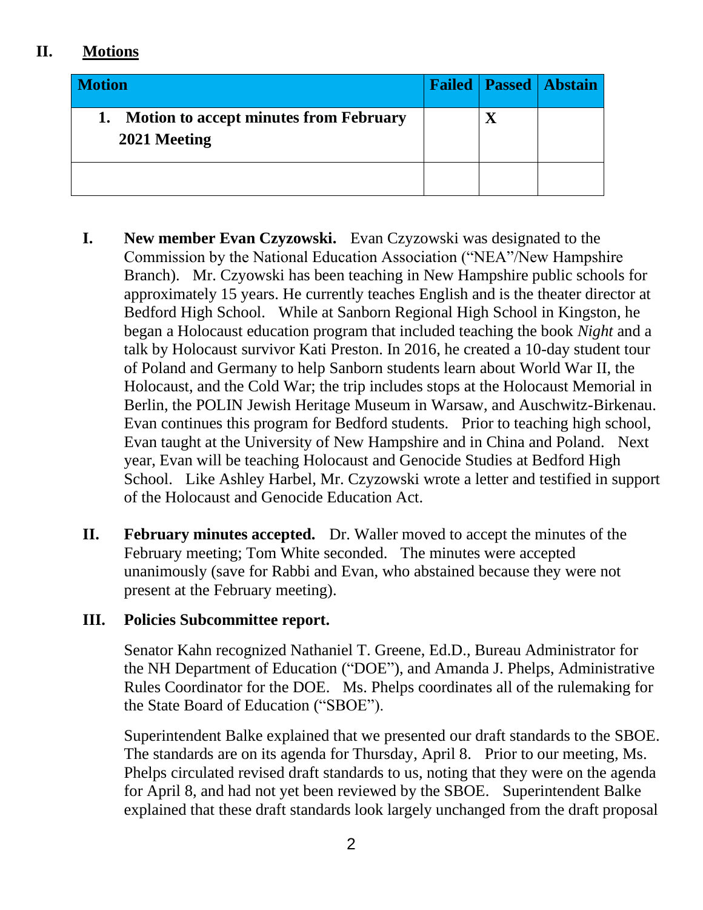## **II. Motions**

| <b>Motion</b>                                                 |  | <b>Failed   Passed   Abstain</b> |
|---------------------------------------------------------------|--|----------------------------------|
| <b>Motion to accept minutes from February</b><br>2021 Meeting |  |                                  |
|                                                               |  |                                  |

- **I. New member Evan Czyzowski.** Evan Czyzowski was designated to the Commission by the National Education Association ("NEA"/New Hampshire Branch). Mr. Czyowski has been teaching in New Hampshire public schools for approximately 15 years. He currently teaches English and is the theater director at Bedford High School. While at Sanborn Regional High School in Kingston, he began a Holocaust education program that included teaching the book *Night* and a talk by Holocaust survivor Kati Preston. In 2016, he created a 10-day student tour of Poland and Germany to help Sanborn students learn about World War II, the Holocaust, and the Cold War; the trip includes stops at the Holocaust Memorial in Berlin, the POLIN Jewish Heritage Museum in Warsaw, and Auschwitz-Birkenau. Evan continues this program for Bedford students. Prior to teaching high school, Evan taught at the University of New Hampshire and in China and Poland. Next year, Evan will be teaching Holocaust and Genocide Studies at Bedford High School. Like Ashley Harbel, Mr. Czyzowski wrote a letter and testified in support of the Holocaust and Genocide Education Act.
- **II. February minutes accepted.** Dr. Waller moved to accept the minutes of the February meeting; Tom White seconded. The minutes were accepted unanimously (save for Rabbi and Evan, who abstained because they were not present at the February meeting).

#### **III. Policies Subcommittee report.**

Senator Kahn recognized Nathaniel T. Greene, Ed.D., Bureau Administrator for the NH Department of Education ("DOE"), and Amanda J. Phelps, Administrative Rules Coordinator for the DOE. Ms. Phelps coordinates all of the rulemaking for the State Board of Education ("SBOE").

Superintendent Balke explained that we presented our draft standards to the SBOE. The standards are on its agenda for Thursday, April 8. Prior to our meeting, Ms. Phelps circulated revised draft standards to us, noting that they were on the agenda for April 8, and had not yet been reviewed by the SBOE. Superintendent Balke explained that these draft standards look largely unchanged from the draft proposal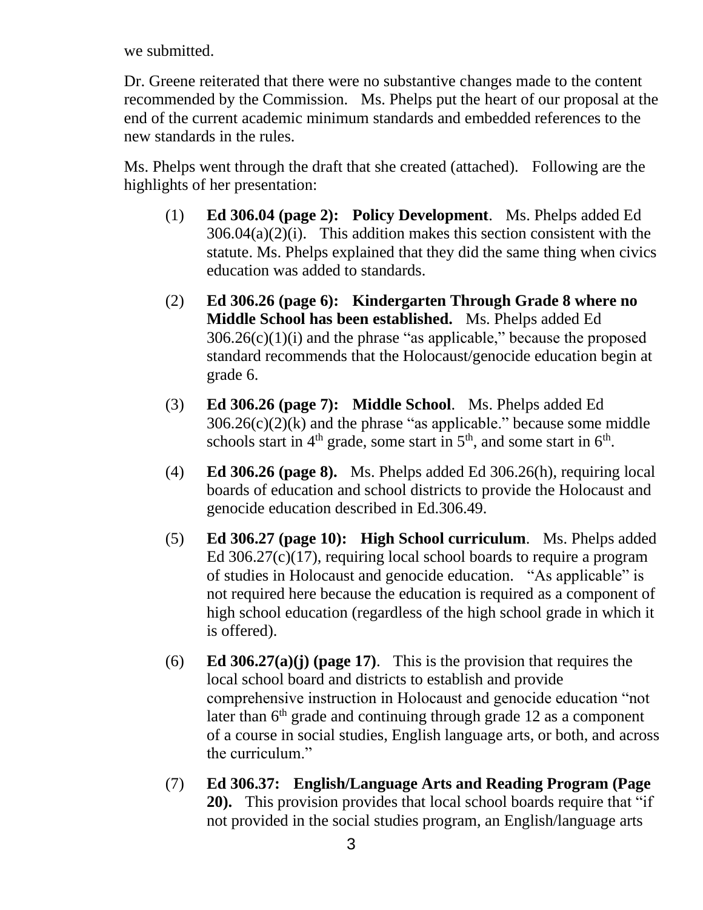we submitted.

Dr. Greene reiterated that there were no substantive changes made to the content recommended by the Commission. Ms. Phelps put the heart of our proposal at the end of the current academic minimum standards and embedded references to the new standards in the rules.

Ms. Phelps went through the draft that she created (attached). Following are the highlights of her presentation:

- (1) **Ed 306.04 (page 2): Policy Development**. Ms. Phelps added Ed  $306.04(a)(2)(i)$ . This addition makes this section consistent with the statute. Ms. Phelps explained that they did the same thing when civics education was added to standards.
- (2) **Ed 306.26 (page 6): Kindergarten Through Grade 8 where no Middle School has been established.** Ms. Phelps added Ed  $306.26(c)(1)(i)$  and the phrase "as applicable," because the proposed standard recommends that the Holocaust/genocide education begin at grade 6.
- (3) **Ed 306.26 (page 7): Middle School**. Ms. Phelps added Ed  $306.26(c)(2)(k)$  and the phrase "as applicable." because some middle schools start in  $4<sup>th</sup>$  grade, some start in  $5<sup>th</sup>$ , and some start in  $6<sup>th</sup>$ .
- (4) **Ed 306.26 (page 8).** Ms. Phelps added Ed 306.26(h), requiring local boards of education and school districts to provide the Holocaust and genocide education described in Ed.306.49.
- (5) **Ed 306.27 (page 10): High School curriculum**. Ms. Phelps added Ed 306.27(c)(17), requiring local school boards to require a program of studies in Holocaust and genocide education. "As applicable" is not required here because the education is required as a component of high school education (regardless of the high school grade in which it is offered).
- (6) **Ed 306.27(a)(j) (page 17)**. This is the provision that requires the local school board and districts to establish and provide comprehensive instruction in Holocaust and genocide education "not later than  $6<sup>th</sup>$  grade and continuing through grade 12 as a component of a course in social studies, English language arts, or both, and across the curriculum."
- (7) **Ed 306.37: English/Language Arts and Reading Program (Page 20).** This provision provides that local school boards require that "if not provided in the social studies program, an English/language arts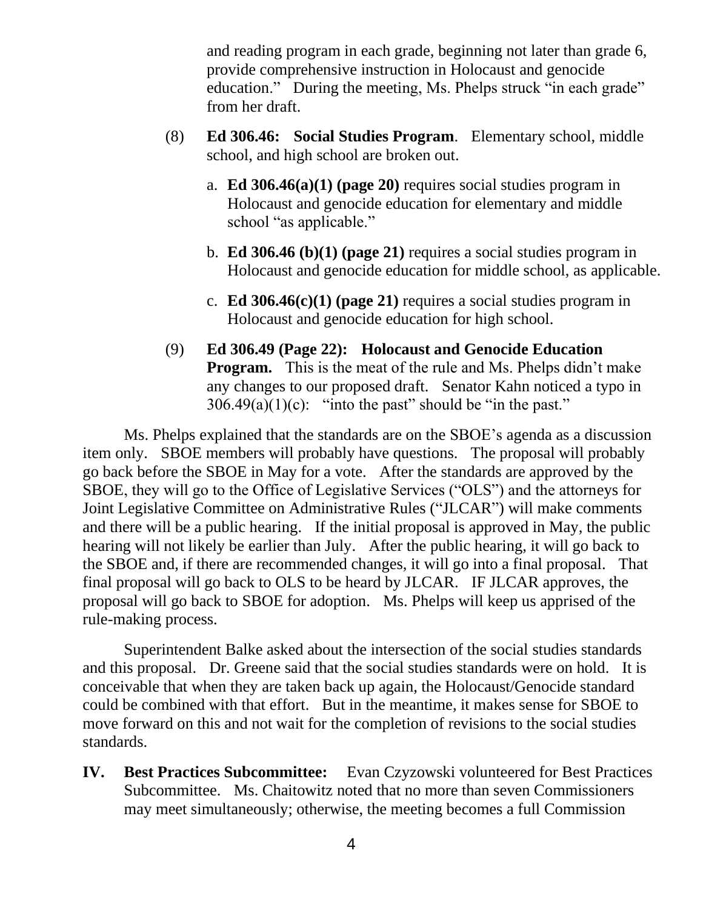and reading program in each grade, beginning not later than grade 6, provide comprehensive instruction in Holocaust and genocide education." During the meeting, Ms. Phelps struck "in each grade" from her draft.

- (8) **Ed 306.46: Social Studies Program**. Elementary school, middle school, and high school are broken out.
	- a. **Ed 306.46(a)(1) (page 20)** requires social studies program in Holocaust and genocide education for elementary and middle school "as applicable."
	- b. **Ed 306.46 (b)(1) (page 21)** requires a social studies program in Holocaust and genocide education for middle school, as applicable.
	- c. **Ed 306.46(c)(1) (page 21)** requires a social studies program in Holocaust and genocide education for high school.
- (9) **Ed 306.49 (Page 22): Holocaust and Genocide Education Program.** This is the meat of the rule and Ms. Phelps didn't make any changes to our proposed draft. Senator Kahn noticed a typo in  $306.49(a)(1)(c)$ : "into the past" should be "in the past."

Ms. Phelps explained that the standards are on the SBOE's agenda as a discussion item only. SBOE members will probably have questions. The proposal will probably go back before the SBOE in May for a vote. After the standards are approved by the SBOE, they will go to the Office of Legislative Services ("OLS") and the attorneys for Joint Legislative Committee on Administrative Rules ("JLCAR") will make comments and there will be a public hearing. If the initial proposal is approved in May, the public hearing will not likely be earlier than July. After the public hearing, it will go back to the SBOE and, if there are recommended changes, it will go into a final proposal. That final proposal will go back to OLS to be heard by JLCAR. IF JLCAR approves, the proposal will go back to SBOE for adoption. Ms. Phelps will keep us apprised of the rule-making process.

Superintendent Balke asked about the intersection of the social studies standards and this proposal. Dr. Greene said that the social studies standards were on hold. It is conceivable that when they are taken back up again, the Holocaust/Genocide standard could be combined with that effort. But in the meantime, it makes sense for SBOE to move forward on this and not wait for the completion of revisions to the social studies standards.

**IV. Best Practices Subcommittee:** Evan Czyzowski volunteered for Best Practices Subcommittee. Ms. Chaitowitz noted that no more than seven Commissioners may meet simultaneously; otherwise, the meeting becomes a full Commission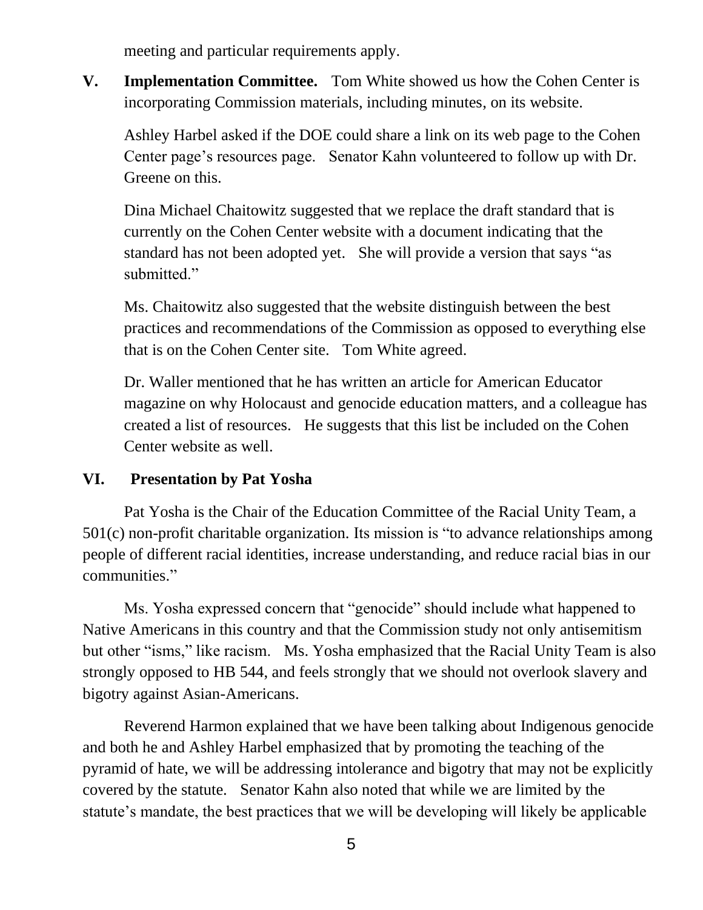meeting and particular requirements apply.

**V. Implementation Committee.** Tom White showed us how the Cohen Center is incorporating Commission materials, including minutes, on its website.

Ashley Harbel asked if the DOE could share a link on its web page to the Cohen Center page's resources page. Senator Kahn volunteered to follow up with Dr. Greene on this.

Dina Michael Chaitowitz suggested that we replace the draft standard that is currently on the Cohen Center website with a document indicating that the standard has not been adopted yet. She will provide a version that says "as submitted."

Ms. Chaitowitz also suggested that the website distinguish between the best practices and recommendations of the Commission as opposed to everything else that is on the Cohen Center site. Tom White agreed.

Dr. Waller mentioned that he has written an article for American Educator magazine on why Holocaust and genocide education matters, and a colleague has created a list of resources. He suggests that this list be included on the Cohen Center website as well.

#### **VI. Presentation by Pat Yosha**

Pat Yosha is the Chair of the Education Committee of the Racial Unity Team, a 501(c) non-profit charitable organization. Its mission is "to advance relationships among people of different racial identities, increase understanding, and reduce racial bias in our communities."

Ms. Yosha expressed concern that "genocide" should include what happened to Native Americans in this country and that the Commission study not only antisemitism but other "isms," like racism. Ms. Yosha emphasized that the Racial Unity Team is also strongly opposed to HB 544, and feels strongly that we should not overlook slavery and bigotry against Asian-Americans.

Reverend Harmon explained that we have been talking about Indigenous genocide and both he and Ashley Harbel emphasized that by promoting the teaching of the pyramid of hate, we will be addressing intolerance and bigotry that may not be explicitly covered by the statute. Senator Kahn also noted that while we are limited by the statute's mandate, the best practices that we will be developing will likely be applicable